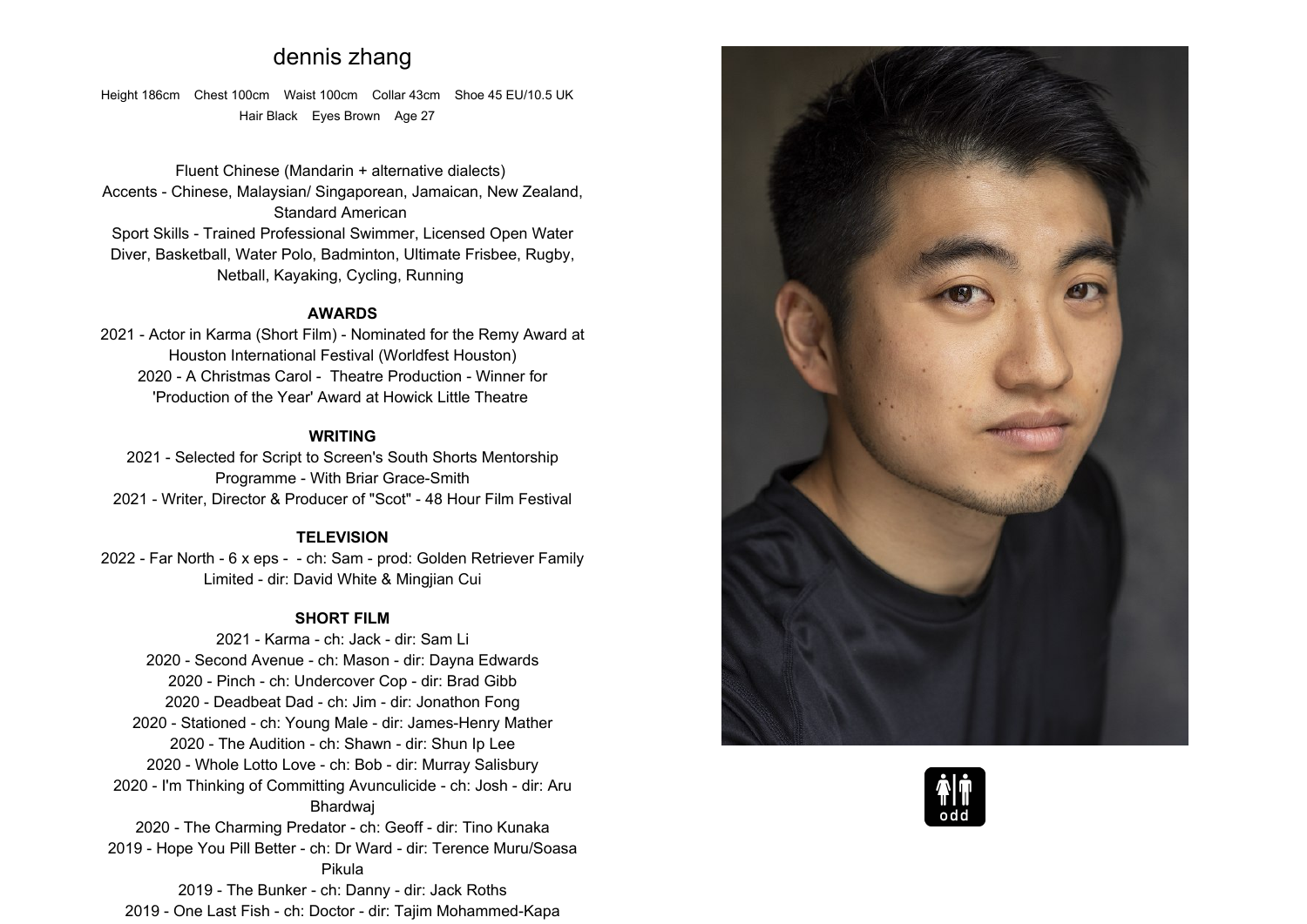# **dennis zhang**

**Height 186cm Chest 100cm Waist 100cm Collar 43cm Shoe <sup>45</sup> EU/10.5 UK Hair Black Eyes Brown Age <sup>27</sup>**

**Fluent Chinese (Mandarin <sup>+</sup> alternative dialects) Accents - Chinese, Malaysian/ Singaporean, Jamaican, New Zealand, Standard American Sport Skills - Trained Professional Swimmer, Licensed Open Water Diver, Basketball, Water Polo, Badminton, Ultimate Frisbee, Rugby, Netball, Kayaking, Cycling, Running** 

#### **AWARDS**

 **2021 - Actor in Karma (Short Film) - Nominated for the Remy Award at Houston International Festival (Worldfest Houston) 2020 - <sup>A</sup> Christmas Carol - Theatre Production - Winner for 'Production of the Year' Award at Howick Little Theatre** 

#### **WRITING**

 **2021 - Selected for Script to Screen's South Shorts Mentorship Programme - With Briar Grace-Smith 2021 - Writer, Director & Producer of "Scot" - <sup>48</sup> Hour Film Festival**

#### **TELEVISION**

 **2022 - Far North - <sup>6</sup> <sup>x</sup> eps - - ch: Sam - prod: Golden Retriever Family Limited - dir: David White & Mingjian Cui**

## **SHORT FILM**

 **2021 - Karma - ch: Jack - dir: Sam Li - Second Avenue - ch: Mason - dir: Dayna Edwards - Pinch - ch: Undercover Cop - dir: Brad Gibb - Deadbeat Dad - ch: Jim - dir: Jonathon Fong - Stationed - ch: Young Male - dir: James-Henry Mather - The Audition - ch: Shawn - dir: Shun Ip Lee - Whole Lotto Love - ch: Bob - dir: Murray Salisbury - I'm Thinking of Committing Avunculicide - ch: Josh - dir: Aru Bhardwaj - The Charming Predator - ch: Geoff - dir: Tino Kunaka - Hope You Pill Better - ch: Dr Ward - dir: Terence Muru/Soasa Pikula 2019 - The Bunker - ch: Danny - dir: Jack Roths - One Last Fish - ch: Doctor - dir: Tajim Mohammed-Kapa**



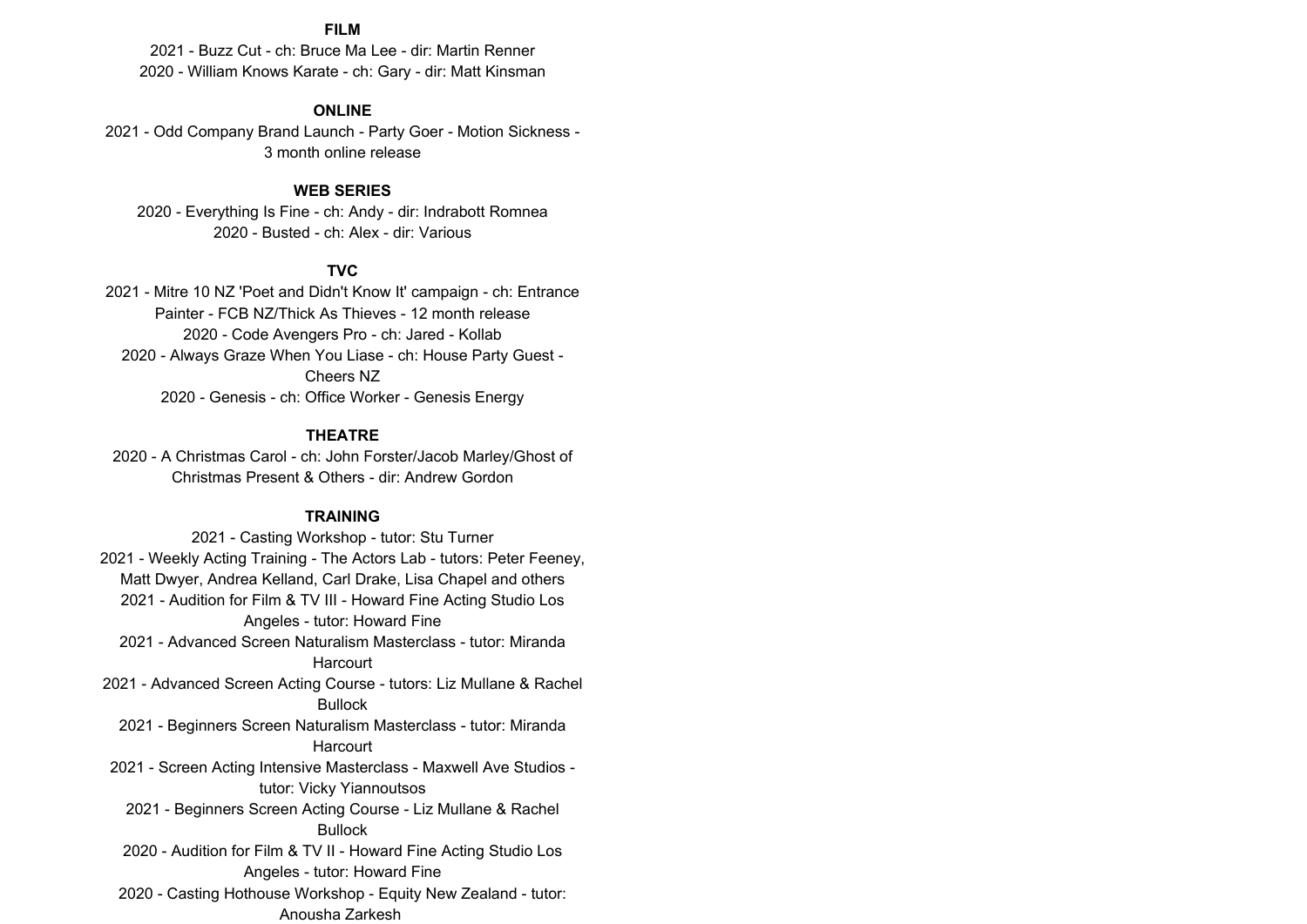## **FILM**

 **2021 - Buzz Cut - ch: Bruce Ma Lee - dir: Martin Renner 2020 - William Knows Karate - ch: Gary - dir: Matt Kinsman**

#### **ONLINE**

 **2021 - Odd Company Brand Launch - Party Goer - Motion Sickness - 3 month online release**

# **WEB SERIES**

**2020 - Everything Is Fine - ch: Andy - dir: Indrabott Romnea 2020 - Busted - ch: Alex - dir: Various**

## **TVC**

 **2021 - Mitre <sup>10</sup> NZ 'Poet and Didn't Know It' campaign - ch: Entrance Painter - FCB NZ/Thick As Thieves - <sup>12</sup> month release 2020 - Code Avengers Pro - ch: Jared - Kollab 2020 - Always Graze When You Liase - ch: House Party Guest - Cheers NZ2020 - Genesis - ch: Office Worker - Genesis Energy**

#### **THEATRE**

 **2020 - <sup>A</sup> Christmas Carol - ch: John Forster/Jacob Marley/Ghost of Christmas Present & Others - dir: Andrew Gordon**

#### **TRAINING**

 **2021 - Casting Workshop - tutor: Stu Turner 2021 - Weekly Acting Training - The Actors Lab - tutors: Peter Feeney, Matt Dwyer, Andrea Kelland, Carl Drake, Lisa Chapel and others 2021 - Audition for Film & TV III - Howard Fine Acting Studio Los Angeles - tutor: Howard Fine 2021 - Advanced Screen Naturalism Masterclass - tutor: Miranda Harcourt2021 - Advanced Screen Acting Course - tutors: Liz Mullane & Rachel Bullock 2021 - Beginners Screen Naturalism Masterclass - tutor: Miranda Harcourt2021 - Screen Acting Intensive Masterclass - Maxwell Ave Studios tutor: Vicky Yiannoutsos 2021 - Beginners Screen Acting Course - Liz Mullane & Rachel Bullock 2020 - Audition for Film & TV II - Howard Fine Acting Studio Los Angeles - tutor: Howard Fine 2020 - Casting Hothouse Workshop - Equity New Zealand - tutor: Anousha Zarkesh**